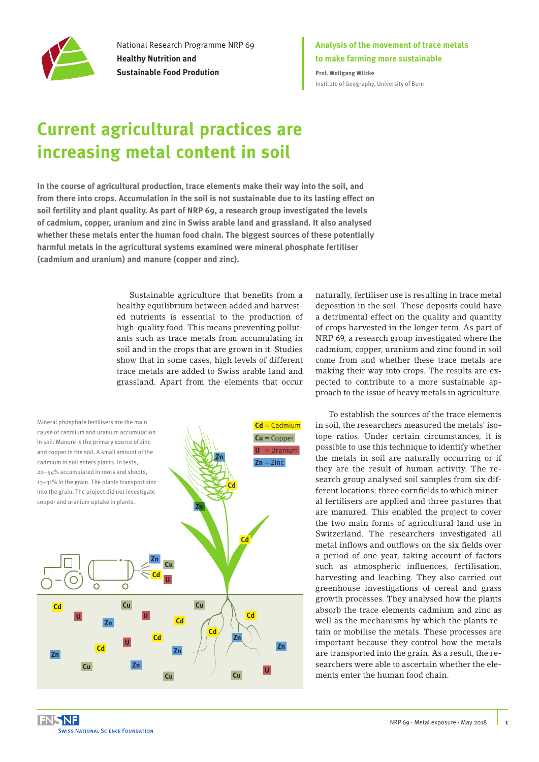

National Research Programme NRP 69 **Healthy Nutrition and Sustainable Food Prodution**

### **Analysis of the movement of trace metals to make farming more sustainable Prof. Wolfgang Wilcke**

[Institute of Geography, University of Bern](http://www.geography.unibe.ch/index_eng.html)

# **Current agricultural practices are increasing metal content in soil**

**In the course of agricultural production, trace elements make their way into the soil, and from there into crops. Accumulation in the soil is not sustainable due to its lasting effect on soil fertility and plant quality. As part of NRP 69, a research group investigated the levels of cadmium, copper, uranium and zinc in Swiss arable land and grassland. It also analysed whether these metals enter the human food chain. The biggest sources of these potentially harmful metals in the agricultural systems examined were mineral phosphate fertiliser (cadmium and uranium) and manure (copper and zinc).** 

> Sustainable agriculture that benefits from a healthy equilibrium between added and harvested nutrients is essential to the production of high-quality food. This means preventing pollutants such as trace metals from accumulating in soil and in the crops that are grown in it. Studies show that in some cases, high levels of different trace metals are added to Swiss arable land and grassland. Apart from the elements that occur



naturally, fertiliser use is resulting in trace metal deposition in the soil. These deposits could have a detrimental effect on the quality and quantity of crops harvested in the longer term. As part of NRP 69, a research group investigated where the cadmium, copper, uranium and zinc found in soil come from and whether these trace metals are making their way into crops. The results are expected to contribute to a more sustainable approach to the issue of heavy metals in agriculture.

To establish the sources of the trace elements in soil, the researchers measured the metals' isotope ratios. Under certain circumstances, it is possible to use this technique to identify whether the metals in soil are naturally occurring or if they are the result of human activity. The research group analysed soil samples from six different locations: three cornfields to which mineral fertilisers are applied and three pastures that are manured. This enabled the project to cover the two main forms of agricultural land use in Switzerland. The researchers investigated all metal inflows and outflows on the six fields over a period of one year, taking account of factors such as atmospheric influences, fertilisation, harvesting and leaching. They also carried out greenhouse investigations of cereal and grass growth processes. They analysed how the plants absorb the trace elements cadmium and zinc as well as the mechanisms by which the plants retain or mobilise the metals. These processes are important because they control how the metals are transported into the grain. As a result, the researchers were able to ascertain whether the elements enter the human food chain.